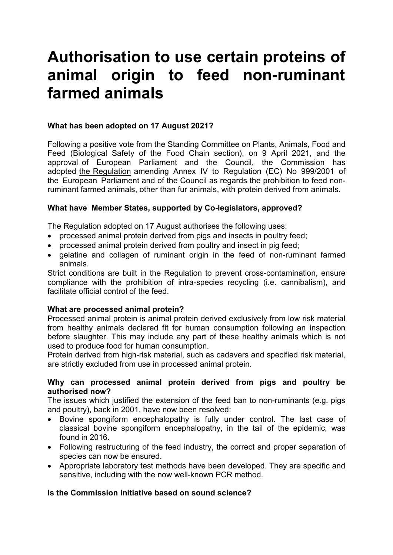# **Authorisation to use certain proteins of animal origin to feed non-ruminant farmed animals**

# **What has been adopted on 17 August 2021?**

Following a positive vote from the Standing Committee on Plants, Animals, Food and Feed (Biological Safety of the Food Chain section), on 9 April 2021, and the approval of European Parliament and the Council, the Commission has adopted [the Regulation](https://eur-lex.europa.eu/legal-content/EN/TXT/PDF/?uri=OJ:L:2021:295:FULL&from=EN) amending Annex IV to Regulation (EC) No 999/2001 of the European Parliament and of the Council as regards the prohibition to feed nonruminant farmed animals, other than fur animals, with protein derived from animals.

#### **What have Member States, supported by Co-legislators, approved?**

The Regulation adopted on 17 August authorises the following uses:

- processed animal protein derived from pigs and insects in poultry feed:
- processed animal protein derived from poultry and insect in pig feed;
- gelatine and collagen of ruminant origin in the feed of non-ruminant farmed animals.

Strict conditions are built in the Regulation to prevent cross-contamination, ensure compliance with the prohibition of intra-species recycling (i.e. cannibalism), and facilitate official control of the feed.

#### **What are processed animal protein?**

Processed animal protein is animal protein derived exclusively from low risk material from healthy animals declared fit for human consumption following an inspection before slaughter. This may include any part of these healthy animals which is not used to produce food for human consumption.

Protein derived from high-risk material, such as cadavers and specified risk material, are strictly excluded from use in processed animal protein.

#### **Why can processed animal protein derived from pigs and poultry be authorised now?**

The issues which justified the extension of the feed ban to non-ruminants (e.g. pigs and poultry), back in 2001, have now been resolved:

- Bovine spongiform encephalopathy is fully under control. The last case of classical bovine spongiform encephalopathy, in the tail of the epidemic, was found in 2016.
- Following restructuring of the feed industry, the correct and proper separation of species can now be ensured.
- Appropriate laboratory test methods have been developed. They are specific and sensitive, including with the now well-known PCR method.

# **Is the Commission initiative based on sound science?**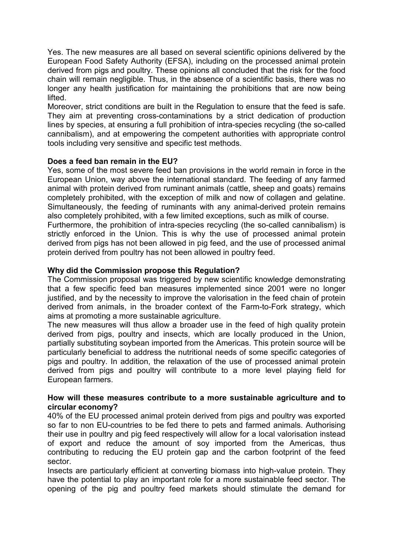Yes. The new measures are all based on several scientific opinions delivered by the European Food Safety Authority (EFSA), including on the processed animal protein derived from pigs and poultry. These opinions all concluded that the risk for the food chain will remain negligible. Thus, in the absence of a scientific basis, there was no longer any health justification for maintaining the prohibitions that are now being lifted.

Moreover, strict conditions are built in the Regulation to ensure that the feed is safe. They aim at preventing cross-contaminations by a strict dedication of production lines by species, at ensuring a full prohibition of intra-species recycling (the so-called cannibalism), and at empowering the competent authorities with appropriate control tools including very sensitive and specific test methods.

# **Does a feed ban remain in the EU?**

Yes, some of the most severe feed ban provisions in the world remain in force in the European Union, way above the international standard. The feeding of any farmed animal with protein derived from ruminant animals (cattle, sheep and goats) remains completely prohibited, with the exception of milk and now of collagen and gelatine. Simultaneously, the feeding of ruminants with any animal-derived protein remains also completely prohibited, with a few limited exceptions, such as milk of course.

Furthermore, the prohibition of intra-species recycling (the so-called cannibalism) is strictly enforced in the Union. This is why the use of processed animal protein derived from pigs has not been allowed in pig feed, and the use of processed animal protein derived from poultry has not been allowed in poultry feed.

# **Why did the Commission propose this Regulation?**

The Commission proposal was triggered by new scientific knowledge demonstrating that a few specific feed ban measures implemented since 2001 were no longer justified, and by the necessity to improve the valorisation in the feed chain of protein derived from animals, in the broader context of the Farm-to-Fork strategy, which aims at promoting a more sustainable agriculture.

The new measures will thus allow a broader use in the feed of high quality protein derived from pigs, poultry and insects, which are locally produced in the Union, partially substituting soybean imported from the Americas. This protein source will be particularly beneficial to address the nutritional needs of some specific categories of pigs and poultry. In addition, the relaxation of the use of processed animal protein derived from pigs and poultry will contribute to a more level playing field for European farmers.

#### **How will these measures contribute to a more sustainable agriculture and to circular economy?**

40% of the EU processed animal protein derived from pigs and poultry was exported so far to non EU-countries to be fed there to pets and farmed animals. Authorising their use in poultry and pig feed respectively will allow for a local valorisation instead of export and reduce the amount of soy imported from the Americas, thus contributing to reducing the EU protein gap and the carbon footprint of the feed sector.

Insects are particularly efficient at converting biomass into high-value protein. They have the potential to play an important role for a more sustainable feed sector. The opening of the pig and poultry feed markets should stimulate the demand for